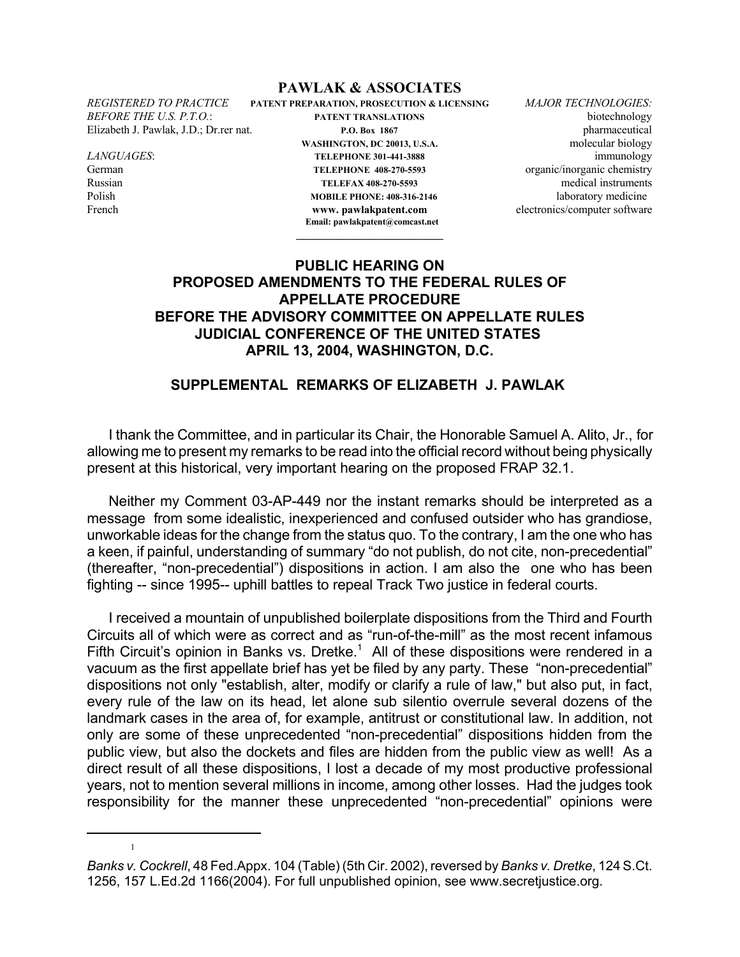## **PAWLAK & ASSOCIATES**

1

*REGISTERED TO PRACTICE* **PATENT PREPARATION, PROSECUTION & LICENSING** *MAJOR TECHNOLOGIES: BEFORE THE U.S. P.T.O.*: **PATENT TRANSLATIONS** biotechnology Elizabeth J. Pawlak, J.D.; Dr.rer nat. **P.O. Box 1867** pharmaceutical WASHINGTON, DC 20013, U.S.A. molecular biology *LANGUAGES*: **TELEPHONE 301-441-3888** immunology German **TELEPHONE 408-270-5593** organic/inorganic chemistry Russian **TELEFAX 408-270-5593** medical instruments Polish **MOBILE PHONE: 408-316-2146** laboratory medicine French **www.pawlakpatent.com** electronics/computer software

> **Email: pawlakpatent@comcast.net \_\_\_\_\_\_\_\_\_\_\_\_\_\_\_\_\_\_\_\_\_\_\_\_\_\_**

## **PUBLIC HEARING ON PROPOSED AMENDMENTS TO THE FEDERAL RULES OF APPELLATE PROCEDURE BEFORE THE ADVISORY COMMITTEE ON APPELLATE RULES JUDICIAL CONFERENCE OF THE UNITED STATES APRIL 13, 2004, WASHINGTON, D.C.**

## **SUPPLEMENTAL REMARKS OF ELIZABETH J. PAWLAK**

 I thank the Committee, and in particular its Chair, the Honorable Samuel A. Alito, Jr., for allowing me to present my remarks to be read into the official record without being physically present at this historical, very important hearing on the proposed FRAP 32.1.

Neither my Comment 03-AP-449 nor the instant remarks should be interpreted as a message from some idealistic, inexperienced and confused outsider who has grandiose, unworkable ideas for the change from the status quo. To the contrary, I am the one who has a keen, if painful, understanding of summary "do not publish, do not cite, non-precedential" (thereafter, "non-precedential") dispositions in action. I am also the one who has been fighting -- since 1995-- uphill battles to repeal Track Two justice in federal courts.

I received a mountain of unpublished boilerplate dispositions from the Third and Fourth Circuits all of which were as correct and as "run-of-the-mill" as the most recent infamous Fifth Circuit's opinion in Banks vs. Dretke.<sup>1</sup> All of these dispositions were rendered in a vacuum as the first appellate brief has yet be filed by any party. These "non-precedential" dispositions not only "establish, alter, modify or clarify a rule of law," but also put, in fact, every rule of the law on its head, let alone sub silentio overrule several dozens of the landmark cases in the area of, for example, antitrust or constitutional law. In addition, not only are some of these unprecedented "non-precedential" dispositions hidden from the public view, but also the dockets and files are hidden from the public view as well! As a direct result of all these dispositions, I lost a decade of my most productive professional years, not to mention several millions in income, among other losses. Had the judges took responsibility for the manner these unprecedented "non-precedential" opinions were

*Banks v. Cockrell*, 48 Fed.Appx. 104 (Table) (5th Cir. 2002), reversed by *Banks v. Dretke*, 124 S.Ct. 1256, 157 L.Ed.2d 1166(2004). For full unpublished opinion, see www.secretjustice.org.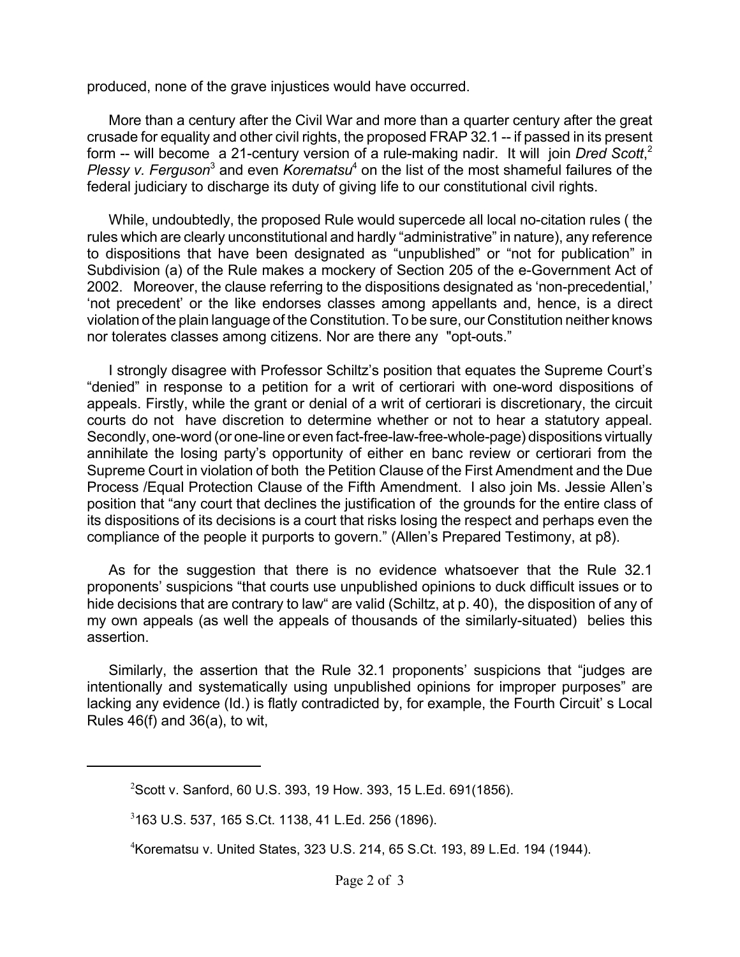produced, none of the grave injustices would have occurred.

More than a century after the Civil War and more than a quarter century after the great crusade for equality and other civil rights, the proposed FRAP 32.1 -- if passed in its present form -- will become a 21-century version of a rule-making nadir. It will join Dred Scott,<sup>2</sup> Plessy v. Ferguson<sup>3</sup> and even *Korematsu*<sup>4</sup> on the list of the most shameful failures of the federal judiciary to discharge its duty of giving life to our constitutional civil rights.

While, undoubtedly, the proposed Rule would supercede all local no-citation rules ( the rules which are clearly unconstitutional and hardly "administrative" in nature), any reference to dispositions that have been designated as "unpublished" or "not for publication" in Subdivision (a) of the Rule makes a mockery of Section 205 of the e-Government Act of 2002. Moreover, the clause referring to the dispositions designated as 'non-precedential,' 'not precedent' or the like endorses classes among appellants and, hence, is a direct violation of the plain language of the Constitution. To be sure, our Constitution neither knows nor tolerates classes among citizens. Nor are there any "opt-outs."

I strongly disagree with Professor Schiltz's position that equates the Supreme Court's "denied" in response to a petition for a writ of certiorari with one-word dispositions of appeals. Firstly, while the grant or denial of a writ of certiorari is discretionary, the circuit courts do not have discretion to determine whether or not to hear a statutory appeal. Secondly, one-word (or one-line or even fact-free-law-free-whole-page) dispositions virtually annihilate the losing party's opportunity of either en banc review or certiorari from the Supreme Court in violation of both the Petition Clause of the First Amendment and the Due Process /Equal Protection Clause of the Fifth Amendment. I also join Ms. Jessie Allen's position that "any court that declines the justification of the grounds for the entire class of its dispositions of its decisions is a court that risks losing the respect and perhaps even the compliance of the people it purports to govern." (Allen's Prepared Testimony, at p8).

As for the suggestion that there is no evidence whatsoever that the Rule 32.1 proponents' suspicions "that courts use unpublished opinions to duck difficult issues or to hide decisions that are contrary to law" are valid (Schiltz, at p. 40), the disposition of any of my own appeals (as well the appeals of thousands of the similarly-situated) belies this assertion.

Similarly, the assertion that the Rule 32.1 proponents' suspicions that "judges are intentionally and systematically using unpublished opinions for improper purposes" are lacking any evidence (Id.) is flatly contradicted by, for example, the Fourth Circuit' s Local Rules 46(f) and 36(a), to wit,

<sup>2</sup> Scott v. Sanford, 60 U.S. 393, 19 How. 393, 15 L.Ed. 691(1856).

<sup>3</sup> 163 U.S. 537, 165 S.Ct. 1138, 41 L.Ed. 256 (1896).

<sup>4</sup> Korematsu v. United States, 323 U.S. 214, 65 S.Ct. 193, 89 L.Ed. 194 (1944).